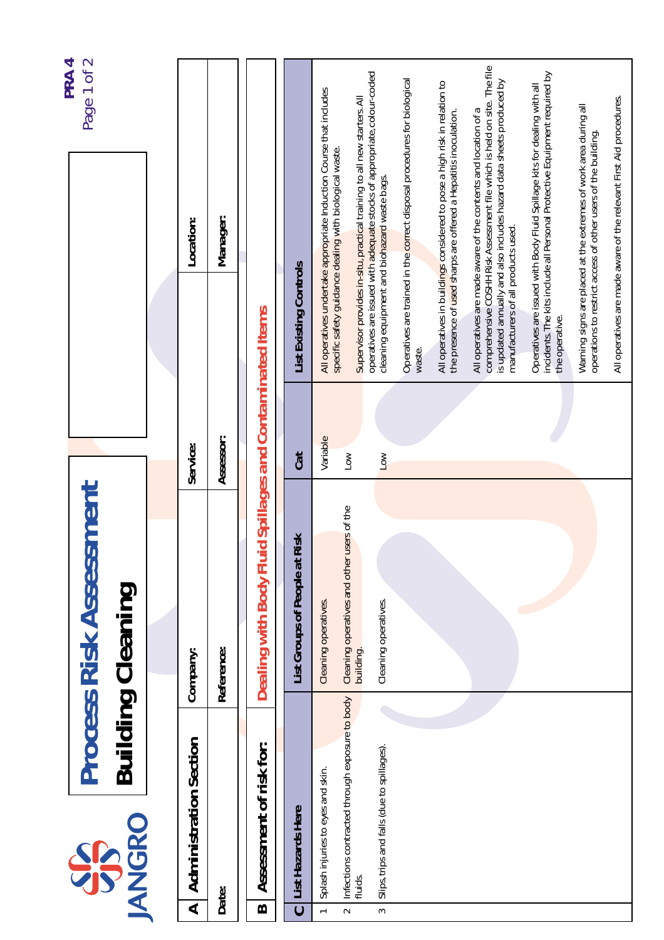|                      |                                                           | <b>Process Risk Assessment</b>                           |                       |                                                                                                        | Page 1 of 2<br>PRA4                                                                                                                                   |  |
|----------------------|-----------------------------------------------------------|----------------------------------------------------------|-----------------------|--------------------------------------------------------------------------------------------------------|-------------------------------------------------------------------------------------------------------------------------------------------------------|--|
|                      | <b>ANGRO</b><br>SPS                                       | <b>Building Cleaning</b>                                 |                       |                                                                                                        |                                                                                                                                                       |  |
|                      |                                                           |                                                          |                       |                                                                                                        |                                                                                                                                                       |  |
| $\blacktriangleleft$ | <b>Administration Section</b>                             | Company:                                                 | Service:              | Location:                                                                                              |                                                                                                                                                       |  |
|                      | Date:                                                     | Reference:                                               | Assessor:             | Manager:                                                                                               |                                                                                                                                                       |  |
| $\mathbf{\Omega}$    | Assessment of risk for:                                   | Dealing with Body Fluid Spillages and Contaminated Items |                       |                                                                                                        |                                                                                                                                                       |  |
| $\mathbf 0$          | List Hazards Here                                         | List Groups of People at Risk                            | <b>Cat</b>            | List Existing Controls                                                                                 |                                                                                                                                                       |  |
| $\overline{a}$       | Splash injuries to eyes and skin.                         | Cleaning operatives.                                     | Variable              |                                                                                                        | All operatives undertake appropriate Induction Course that includes                                                                                   |  |
| $\sim$               | Infections contracted through exposure to body<br>fluids. | Cleaning operatives and other users of the<br>building.  | $\sum_{i=1}^{n}$      | specific safety guidance dealing with biological waste.                                                | Supervisor provides in-situ, practical training to all new starters. All                                                                              |  |
| $\sim$               | Slips, trips and falls (due to spillages).                | Cleaning operatives.                                     | $\overline{\text{S}}$ | cleaning equipment and biohazard waste bags.                                                           | operatives are issued with adequate stocks of appropriate, colour-coded                                                                               |  |
|                      |                                                           |                                                          |                       | waste.                                                                                                 | Operatives are trained in the correct disposal procedures for biological                                                                              |  |
|                      |                                                           |                                                          |                       | the presence of used sharps are offered a Hepatitis inoculation.                                       | All operatives in buildings considered to pose a high risk in relation to                                                                             |  |
|                      |                                                           |                                                          |                       | All operatives are made aware of the contents and location of a<br>manufacturers of all products used. | comprehensive COSHH Risk Assessment file which is held on site. The file<br>is updated annually and also includes hazard data sheets produced by      |  |
|                      |                                                           |                                                          |                       | the operative.                                                                                         | incidents. The kits include all Personal Protective Equipment required by<br>Operatives are issued with Body Fluid Spillage kits for dealing with all |  |
|                      |                                                           |                                                          |                       | operations to restrict access of other users of the building.                                          | Warning signs are placed at the extremes of work area during all                                                                                      |  |
|                      |                                                           |                                                          |                       |                                                                                                        | All operatives are made aware of the relevant First Aid procedures.                                                                                   |  |